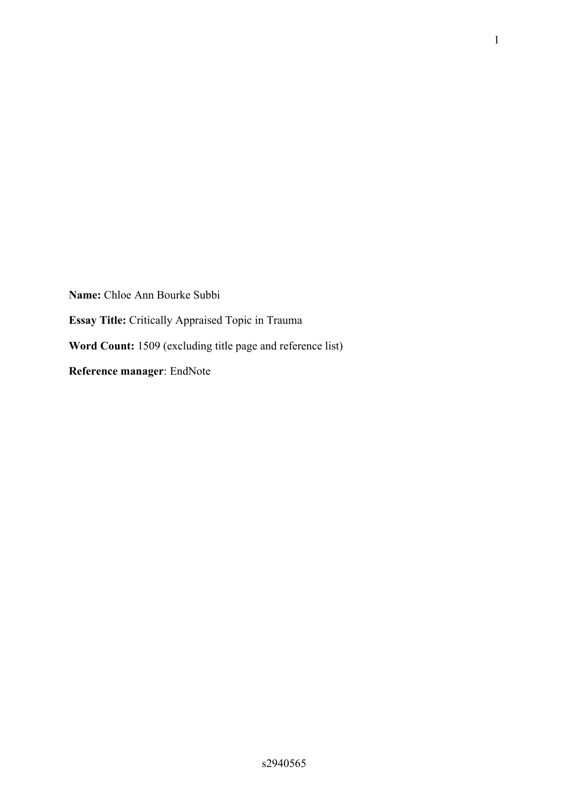**Name:** Chloe Ann Bourke Subbi **Essay Title:** Critically Appraised Topic in Trauma **Word Count:** 1509 (excluding title page and reference list) **Reference manager**: EndNote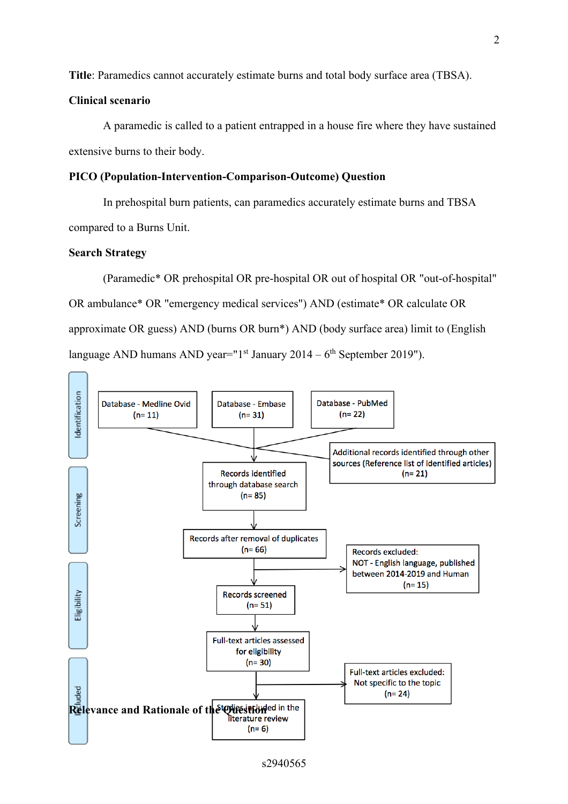**Title**: Paramedics cannot accurately estimate burns and total body surface area (TBSA).

### **Clinical scenario**

A paramedic is called to a patient entrapped in a house fire where they have sustained extensive burns to their body.

#### **PICO (Population-Intervention-Comparison-Outcome) Question**

In prehospital burn patients, can paramedics accurately estimate burns and TBSA compared to a Burns Unit.

### **Search Strategy**

(Paramedic\* OR prehospital OR pre-hospital OR out of hospital OR "out-of-hospital" OR ambulance\* OR "emergency medical services") AND (estimate\* OR calculate OR approximate OR guess) AND (burns OR burn\*) AND (body surface area) limit to (English language AND humans AND year=" $1<sup>st</sup>$  January 2014 – 6<sup>th</sup> September 2019").

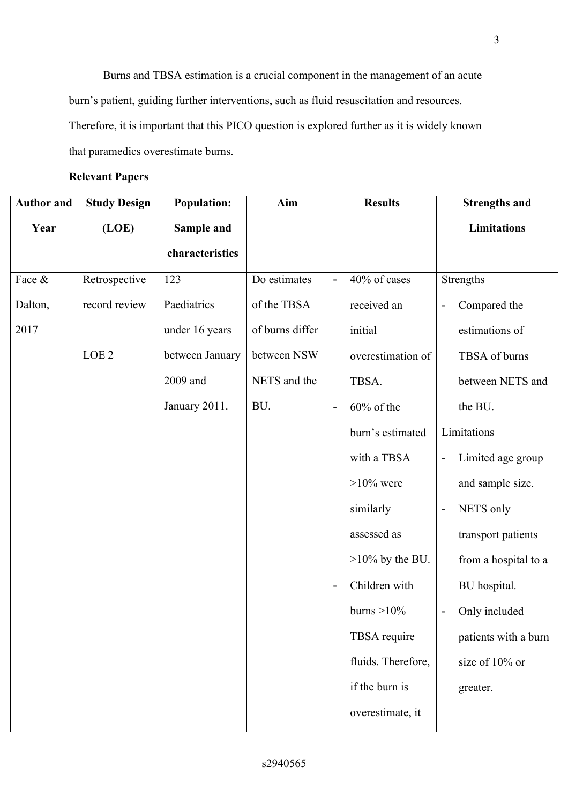Burns and TBSA estimation is a crucial component in the management of an acute burn's patient, guiding further interventions, such as fluid resuscitation and resources. Therefore, it is important that this PICO question is explored further as it is widely known that paramedics overestimate burns.

# **Relevant Papers**

| <b>Author and</b> | <b>Study Design</b> | <b>Population:</b> | Aim             |                | <b>Results</b>     | <b>Strengths and</b>                          |
|-------------------|---------------------|--------------------|-----------------|----------------|--------------------|-----------------------------------------------|
| Year              | (LOE)               | Sample and         |                 |                |                    | <b>Limitations</b>                            |
|                   |                     | characteristics    |                 |                |                    |                                               |
| Face &            | Retrospective       | 123                | Do estimates    | $\blacksquare$ | 40% of cases       | Strengths                                     |
| Dalton,           | record review       | Paediatrics        | of the TBSA     |                | received an        | Compared the<br>$\overline{\phantom{a}}$      |
| 2017              |                     | under 16 years     | of burns differ |                | initial            | estimations of                                |
|                   | LOE <sub>2</sub>    | between January    | between NSW     |                | overestimation of  | TBSA of burns                                 |
|                   |                     | 2009 and           | NETS and the    |                | TBSA.              | between NETS and                              |
|                   |                     | January 2011.      | BU.             |                | $60\%$ of the      | the BU.                                       |
|                   |                     |                    |                 |                | burn's estimated   | Limitations                                   |
|                   |                     |                    |                 |                | with a TBSA        | Limited age group<br>$\overline{\phantom{a}}$ |
|                   |                     |                    |                 |                | $>10\%$ were       | and sample size.                              |
|                   |                     |                    |                 |                | similarly          | NETS only<br>$\overline{\phantom{a}}$         |
|                   |                     |                    |                 |                | assessed as        | transport patients                            |
|                   |                     |                    |                 |                | $>10\%$ by the BU. | from a hospital to a                          |
|                   |                     |                    |                 |                | Children with      | BU hospital.                                  |
|                   |                     |                    |                 |                | burns $>10\%$      | Only included<br>$\overline{\phantom{a}}$     |
|                   |                     |                    |                 |                | TBSA require       | patients with a burn                          |
|                   |                     |                    |                 |                | fluids. Therefore, | size of 10% or                                |
|                   |                     |                    |                 |                | if the burn is     | greater.                                      |
|                   |                     |                    |                 |                | overestimate, it   |                                               |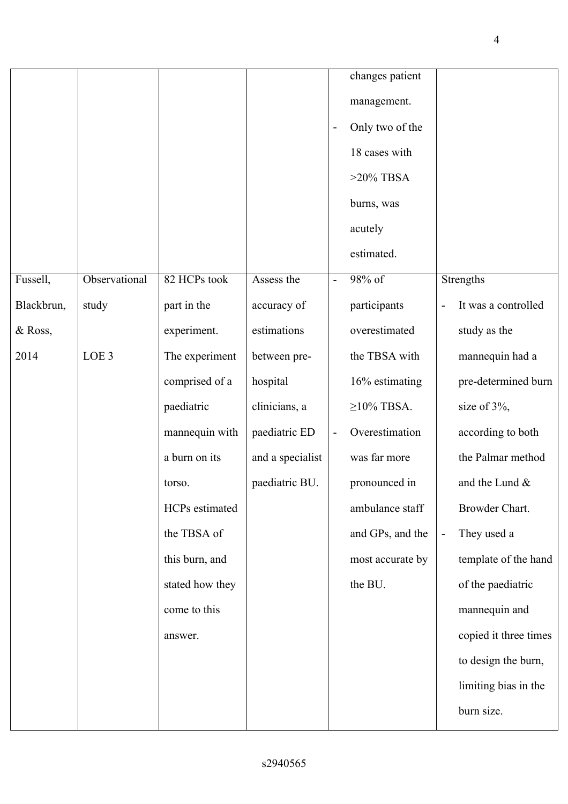|            |                  |                 |                  | $\overline{\phantom{a}}$ | changes patient<br>management.<br>Only two of the<br>18 cases with |                   |                       |
|------------|------------------|-----------------|------------------|--------------------------|--------------------------------------------------------------------|-------------------|-----------------------|
|            |                  |                 |                  |                          | $>20\%$ TBSA<br>burns, was<br>acutely<br>estimated.                |                   |                       |
| Fussell,   | Observational    | 82 HCPs took    | Assess the       | $\overline{\phantom{a}}$ | 98% of                                                             |                   | Strengths             |
| Blackbrun, | study            | part in the     | accuracy of      |                          | participants                                                       | $\qquad \qquad -$ | It was a controlled   |
| & Ross,    |                  | experiment.     | estimations      |                          | overestimated                                                      |                   | study as the          |
| 2014       | LOE <sub>3</sub> | The experiment  | between pre-     |                          | the TBSA with                                                      |                   | mannequin had a       |
|            |                  | comprised of a  | hospital         |                          | 16% estimating                                                     |                   | pre-determined burn   |
|            |                  | paediatric      | clinicians, a    |                          | $\geq$ 10% TBSA.                                                   |                   | size of 3%,           |
|            |                  | mannequin with  | paediatric ED    | $\blacksquare$           | Overestimation                                                     |                   | according to both     |
|            |                  | a burn on its   | and a specialist |                          | was far more                                                       |                   | the Palmar method     |
|            |                  | torso.          | paediatric BU.   |                          | pronounced in                                                      |                   | and the Lund &        |
|            |                  | HCPs estimated  |                  |                          | ambulance staff                                                    |                   | Browder Chart.        |
|            |                  | the TBSA of     |                  |                          | and GPs, and the                                                   | ÷                 | They used a           |
|            |                  | this burn, and  |                  |                          | most accurate by                                                   |                   | template of the hand  |
|            |                  | stated how they |                  |                          | the BU.                                                            |                   | of the paediatric     |
|            |                  | come to this    |                  |                          |                                                                    |                   | mannequin and         |
|            |                  | answer.         |                  |                          |                                                                    |                   | copied it three times |
|            |                  |                 |                  |                          |                                                                    |                   | to design the burn,   |
|            |                  |                 |                  |                          |                                                                    |                   | limiting bias in the  |
|            |                  |                 |                  |                          |                                                                    |                   | burn size.            |

4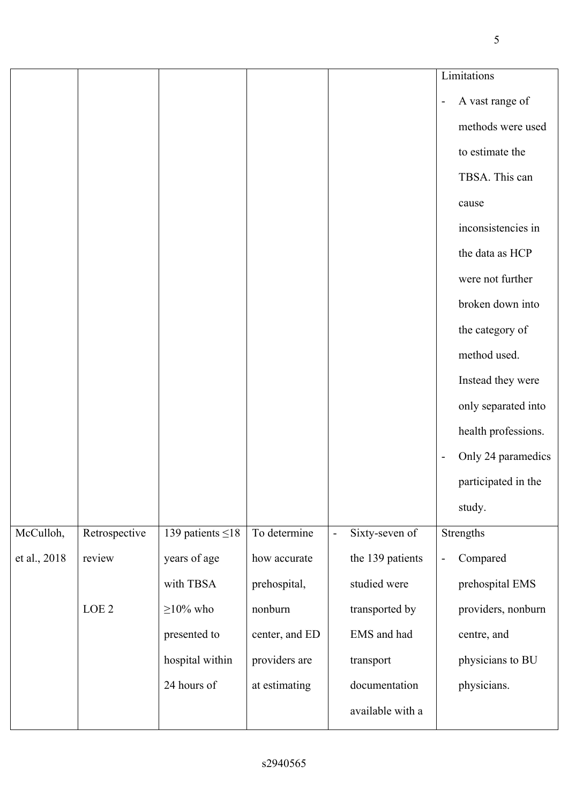|              |                  |                        |                |                          |                  |                          | Limitations         |
|--------------|------------------|------------------------|----------------|--------------------------|------------------|--------------------------|---------------------|
|              |                  |                        |                |                          |                  | $\overline{\phantom{a}}$ | A vast range of     |
|              |                  |                        |                |                          |                  |                          | methods were used   |
|              |                  |                        |                |                          |                  |                          | to estimate the     |
|              |                  |                        |                |                          |                  |                          | TBSA. This can      |
|              |                  |                        |                |                          |                  |                          | cause               |
|              |                  |                        |                |                          |                  |                          | inconsistencies in  |
|              |                  |                        |                |                          |                  |                          | the data as HCP     |
|              |                  |                        |                |                          |                  |                          | were not further    |
|              |                  |                        |                |                          |                  |                          | broken down into    |
|              |                  |                        |                |                          |                  |                          | the category of     |
|              |                  |                        |                |                          |                  |                          | method used.        |
|              |                  |                        |                |                          |                  |                          | Instead they were   |
|              |                  |                        |                |                          |                  |                          | only separated into |
|              |                  |                        |                |                          |                  |                          | health professions. |
|              |                  |                        |                |                          |                  | $\overline{\phantom{a}}$ | Only 24 paramedics  |
|              |                  |                        |                |                          |                  |                          | participated in the |
|              |                  |                        |                |                          |                  |                          | study.              |
| McCulloh,    | Retrospective    | 139 patients $\leq$ 18 | To determine   | $\overline{\phantom{a}}$ | Sixty-seven of   |                          | Strengths           |
| et al., 2018 | review           | years of age           | how accurate   |                          | the 139 patients | $\overline{\phantom{a}}$ | Compared            |
|              |                  | with TBSA              | prehospital,   |                          | studied were     |                          | prehospital EMS     |
|              | LOE <sub>2</sub> | $>10\%$ who            | nonburn        |                          | transported by   |                          | providers, nonburn  |
|              |                  | presented to           | center, and ED |                          | EMS and had      |                          | centre, and         |
|              |                  | hospital within        | providers are  |                          | transport        |                          | physicians to BU    |
|              |                  | 24 hours of            | at estimating  |                          | documentation    |                          | physicians.         |
|              |                  |                        |                |                          | available with a |                          |                     |
|              |                  |                        |                |                          |                  |                          |                     |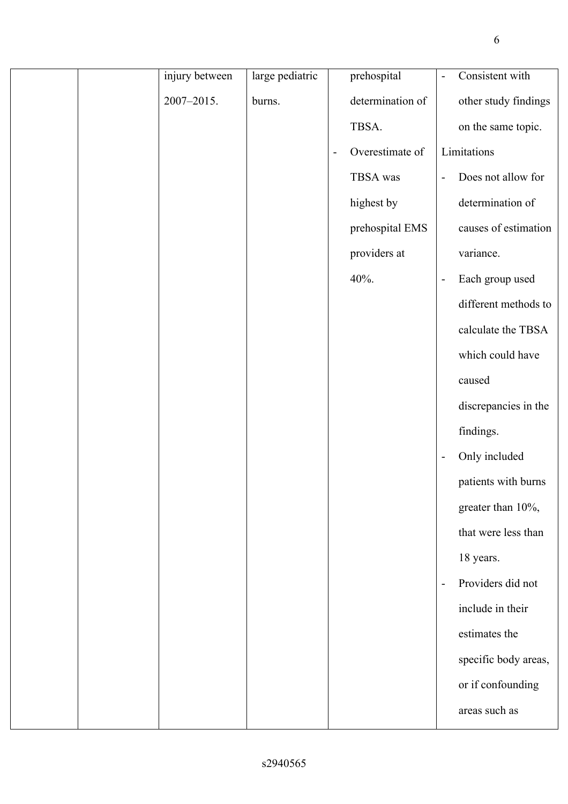|  | injury between | large pediatric |                | prehospital      | $\overline{\phantom{a}}$ | Consistent with      |
|--|----------------|-----------------|----------------|------------------|--------------------------|----------------------|
|  | 2007-2015.     | burns.          |                | determination of |                          | other study findings |
|  |                |                 |                | TBSA.            |                          | on the same topic.   |
|  |                |                 | $\blacksquare$ | Overestimate of  |                          | Limitations          |
|  |                |                 |                | TBSA was         | $\overline{\phantom{0}}$ | Does not allow for   |
|  |                |                 |                | highest by       |                          | determination of     |
|  |                |                 |                | prehospital EMS  |                          | causes of estimation |
|  |                |                 |                | providers at     |                          | variance.            |
|  |                |                 |                | 40%.             | $\overline{\phantom{a}}$ | Each group used      |
|  |                |                 |                |                  |                          | different methods to |
|  |                |                 |                |                  |                          | calculate the TBSA   |
|  |                |                 |                |                  |                          | which could have     |
|  |                |                 |                |                  |                          | caused               |
|  |                |                 |                |                  |                          | discrepancies in the |
|  |                |                 |                |                  |                          | findings.            |
|  |                |                 |                |                  | $\overline{\phantom{a}}$ | Only included        |
|  |                |                 |                |                  |                          | patients with burns  |
|  |                |                 |                |                  |                          | greater than 10%,    |
|  |                |                 |                |                  |                          | that were less than  |
|  |                |                 |                |                  |                          | 18 years.            |
|  |                |                 |                |                  | $\frac{1}{2}$            | Providers did not    |
|  |                |                 |                |                  |                          | include in their     |
|  |                |                 |                |                  |                          | estimates the        |
|  |                |                 |                |                  |                          | specific body areas, |
|  |                |                 |                |                  |                          | or if confounding    |
|  |                |                 |                |                  |                          | areas such as        |
|  |                |                 |                |                  |                          |                      |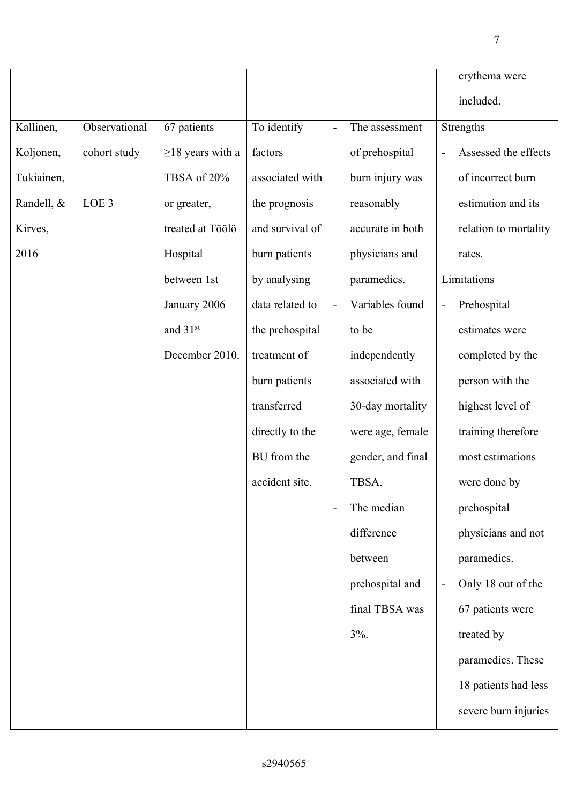|            |                  |                        |                 |                          |                   | erythema were                 |
|------------|------------------|------------------------|-----------------|--------------------------|-------------------|-------------------------------|
|            |                  |                        |                 |                          |                   | included.                     |
| Kallinen,  | Observational    | 67 patients            | To identify     | $\blacksquare$           | The assessment    | Strengths                     |
| Koljonen,  | cohort study     | $\geq$ 18 years with a | factors         |                          | of prehospital    | Assessed the effects          |
| Tukiainen, |                  | TBSA of 20%            | associated with |                          | burn injury was   | of incorrect burn             |
| Randell, & | LOE <sub>3</sub> | or greater,            | the prognosis   |                          | reasonably        | estimation and its            |
| Kirves,    |                  | treated at Töölö       | and survival of |                          | accurate in both  | relation to mortality         |
| 2016       |                  | Hospital               | burn patients   |                          | physicians and    | rates.                        |
|            |                  | between 1st            | by analysing    |                          | paramedics.       | Limitations                   |
|            |                  | January 2006           | data related to | $\overline{a}$           | Variables found   | Prehospital<br>$\blacksquare$ |
|            |                  | and 31st               | the prehospital |                          | to be             | estimates were                |
|            |                  | December 2010.         | treatment of    |                          | independently     | completed by the              |
|            |                  |                        | burn patients   |                          | associated with   | person with the               |
|            |                  |                        | transferred     |                          | 30-day mortality  | highest level of              |
|            |                  |                        | directly to the |                          | were age, female  | training therefore            |
|            |                  |                        | BU from the     |                          | gender, and final | most estimations              |
|            |                  |                        | accident site.  |                          | TBSA.             | were done by                  |
|            |                  |                        |                 | $\overline{\phantom{a}}$ | The median        | prehospital                   |
|            |                  |                        |                 |                          | difference        | physicians and not            |
|            |                  |                        |                 |                          | between           | paramedics.                   |
|            |                  |                        |                 |                          | prehospital and   | Only 18 out of the            |
|            |                  |                        |                 |                          | final TBSA was    | 67 patients were              |
|            |                  |                        |                 |                          | $3\%$ .           | treated by                    |
|            |                  |                        |                 |                          |                   | paramedics. These             |
|            |                  |                        |                 |                          |                   | 18 patients had less          |
|            |                  |                        |                 |                          |                   | severe burn injuries          |
|            |                  |                        |                 |                          |                   |                               |

7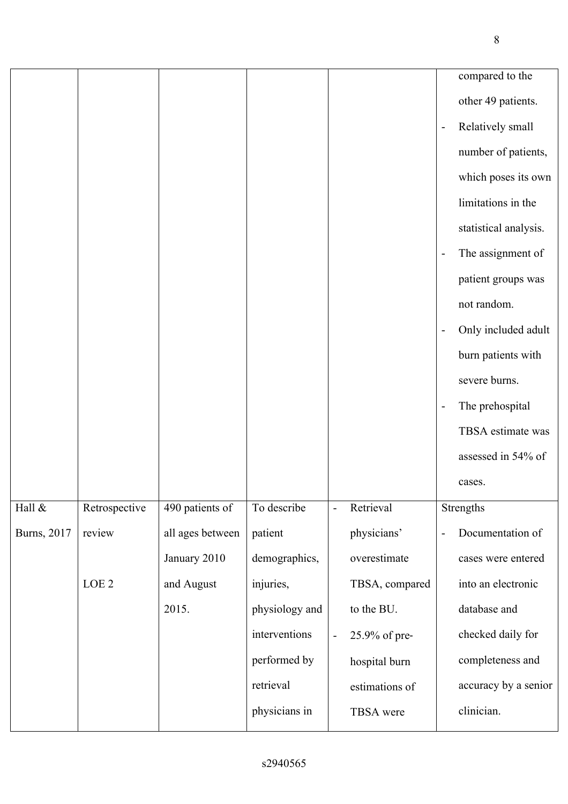|             |                  |                  |                |                          |                |                          | compared to the       |
|-------------|------------------|------------------|----------------|--------------------------|----------------|--------------------------|-----------------------|
|             |                  |                  |                |                          |                |                          | other 49 patients.    |
|             |                  |                  |                |                          |                | $\overline{\phantom{a}}$ | Relatively small      |
|             |                  |                  |                |                          |                |                          | number of patients,   |
|             |                  |                  |                |                          |                |                          | which poses its own   |
|             |                  |                  |                |                          |                |                          | limitations in the    |
|             |                  |                  |                |                          |                |                          | statistical analysis. |
|             |                  |                  |                |                          |                | $\overline{a}$           | The assignment of     |
|             |                  |                  |                |                          |                |                          | patient groups was    |
|             |                  |                  |                |                          |                |                          | not random.           |
|             |                  |                  |                |                          |                | $\overline{a}$           | Only included adult   |
|             |                  |                  |                |                          |                |                          | burn patients with    |
|             |                  |                  |                |                          |                |                          | severe burns.         |
|             |                  |                  |                |                          |                | $\overline{\phantom{a}}$ | The prehospital       |
|             |                  |                  |                |                          |                |                          | TBSA estimate was     |
|             |                  |                  |                |                          |                |                          | assessed in 54% of    |
|             |                  |                  |                |                          |                |                          | cases.                |
| Hall $\&$   | Retrospective    | 490 patients of  | To describe    | $\overline{\phantom{a}}$ | Retrieval      |                          | Strengths             |
| Burns, 2017 | review           | all ages between | patient        |                          | physicians'    | $\overline{a}$           | Documentation of      |
|             |                  | January 2010     | demographics,  |                          | overestimate   |                          | cases were entered    |
|             | LOE <sub>2</sub> | and August       | injuries,      |                          | TBSA, compared |                          | into an electronic    |
|             |                  | 2015.            | physiology and |                          | to the BU.     |                          | database and          |
|             |                  |                  | interventions  | $\overline{\phantom{a}}$ | 25.9% of pre-  |                          | checked daily for     |
|             |                  |                  | performed by   |                          | hospital burn  |                          | completeness and      |
|             |                  |                  | retrieval      |                          | estimations of |                          | accuracy by a senior  |
|             |                  |                  | physicians in  |                          | TBSA were      |                          | clinician.            |
|             |                  |                  |                |                          |                |                          |                       |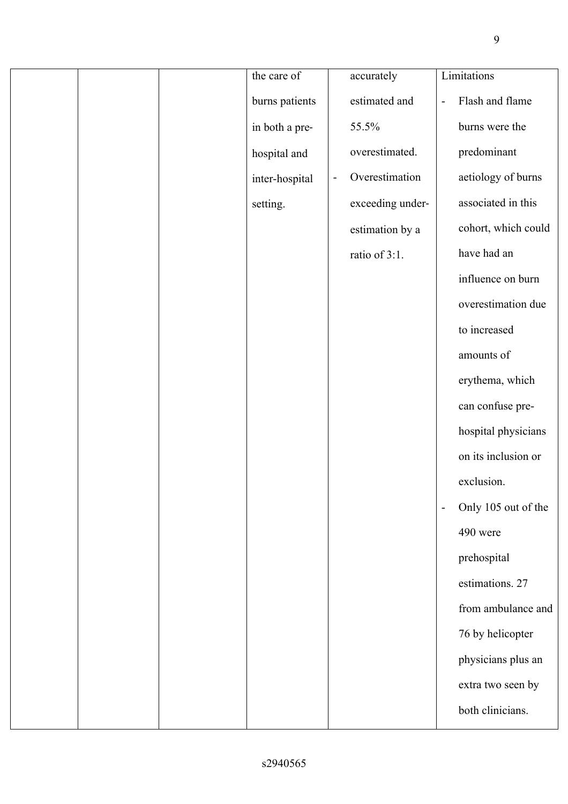|  | the care of    |                | accurately       |                          | Limitations         |
|--|----------------|----------------|------------------|--------------------------|---------------------|
|  |                |                |                  |                          |                     |
|  | burns patients |                | estimated and    | $\frac{1}{2}$            | Flash and flame     |
|  | in both a pre- |                | 55.5%            |                          | burns were the      |
|  | hospital and   |                | overestimated.   |                          | predominant         |
|  | inter-hospital | $\blacksquare$ | Overestimation   |                          | aetiology of burns  |
|  | setting.       |                | exceeding under- |                          | associated in this  |
|  |                |                | estimation by a  |                          | cohort, which could |
|  |                |                | ratio of 3:1.    |                          | have had an         |
|  |                |                |                  |                          | influence on burn   |
|  |                |                |                  |                          | overestimation due  |
|  |                |                |                  |                          | to increased        |
|  |                |                |                  |                          | amounts of          |
|  |                |                |                  |                          | erythema, which     |
|  |                |                |                  |                          | can confuse pre-    |
|  |                |                |                  |                          | hospital physicians |
|  |                |                |                  |                          | on its inclusion or |
|  |                |                |                  |                          | exclusion.          |
|  |                |                |                  | $\overline{\phantom{a}}$ | Only 105 out of the |
|  |                |                |                  |                          | 490 were            |
|  |                |                |                  |                          | prehospital         |
|  |                |                |                  |                          | estimations. 27     |
|  |                |                |                  |                          | from ambulance and  |
|  |                |                |                  |                          | 76 by helicopter    |
|  |                |                |                  |                          | physicians plus an  |
|  |                |                |                  |                          | extra two seen by   |
|  |                |                |                  |                          | both clinicians.    |
|  |                |                |                  |                          |                     |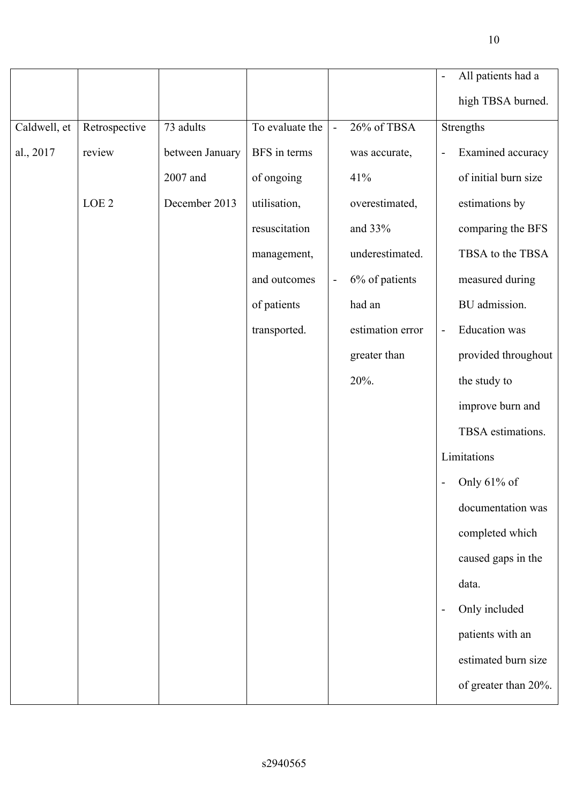|                  |                 |                 |                          |                  |                | All patients had a   |
|------------------|-----------------|-----------------|--------------------------|------------------|----------------|----------------------|
|                  |                 |                 |                          |                  |                | high TBSA burned.    |
| Retrospective    | 73 adults       | To evaluate the | $\blacksquare$           | 26% of TBSA      |                | Strengths            |
| review           | between January | BFS in terms    |                          | was accurate,    | $\blacksquare$ | Examined accuracy    |
|                  | 2007 and        | of ongoing      |                          | 41%              |                | of initial burn size |
| LOE <sub>2</sub> | December 2013   | utilisation,    |                          | overestimated,   |                | estimations by       |
|                  |                 | resuscitation   |                          | and 33%          |                | comparing the BFS    |
|                  |                 | management,     |                          | underestimated.  |                | TBSA to the TBSA     |
|                  |                 | and outcomes    | $\overline{\phantom{0}}$ | 6% of patients   |                | measured during      |
|                  |                 | of patients     |                          | had an           |                | BU admission.        |
|                  |                 | transported.    |                          | estimation error | $\blacksquare$ | <b>Education</b> was |
|                  |                 |                 |                          | greater than     |                | provided throughout  |
|                  |                 |                 |                          | 20%.             |                | the study to         |
|                  |                 |                 |                          |                  |                | improve burn and     |
|                  |                 |                 |                          |                  |                | TBSA estimations.    |
|                  |                 |                 |                          |                  |                | Limitations          |
|                  |                 |                 |                          |                  |                | - Only $61\%$ of     |
|                  |                 |                 |                          |                  |                | documentation was    |
|                  |                 |                 |                          |                  |                | completed which      |
|                  |                 |                 |                          |                  |                | caused gaps in the   |

Caldwell, et

al., 2017

- Only included patients with an estimated burn size of greater than 20%.

data.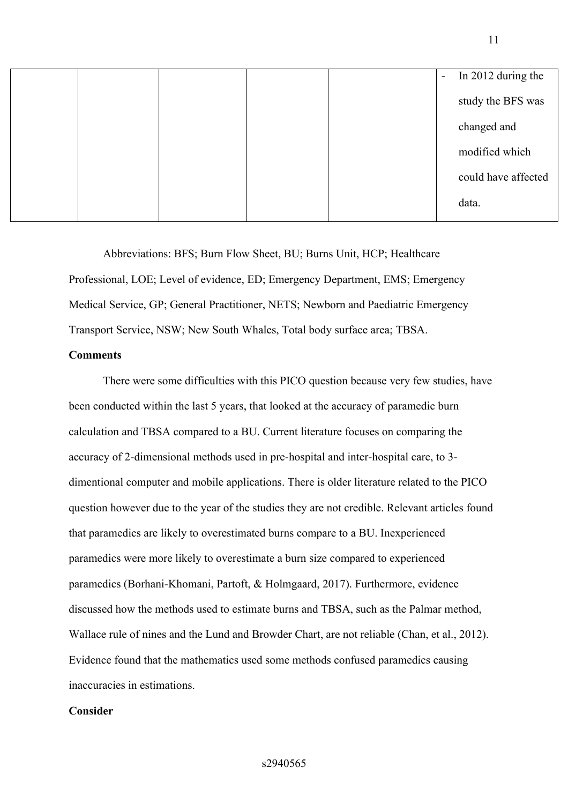|  |  | In 2012 during the<br>$\equiv$ |
|--|--|--------------------------------|
|  |  | study the BFS was              |
|  |  | changed and                    |
|  |  | modified which                 |
|  |  | could have affected            |
|  |  | data.                          |

Abbreviations: BFS; Burn Flow Sheet, BU; Burns Unit, HCP; Healthcare Professional, LOE; Level of evidence, ED; Emergency Department, EMS; Emergency Medical Service, GP; General Practitioner, NETS; Newborn and Paediatric Emergency Transport Service, NSW; New South Whales, Total body surface area; TBSA.

## **Comments**

There were some difficulties with this PICO question because very few studies, have been conducted within the last 5 years, that looked at the accuracy of paramedic burn calculation and TBSA compared to a BU. Current literature focuses on comparing the accuracy of 2-dimensional methods used in pre-hospital and inter-hospital care, to 3 dimentional computer and mobile applications. There is older literature related to the PICO question however due to the year of the studies they are not credible. Relevant articles found that paramedics are likely to overestimated burns compare to a BU. Inexperienced paramedics were more likely to overestimate a burn size compared to experienced paramedics (Borhani-Khomani, Partoft, & Holmgaard, 2017). Furthermore, evidence discussed how the methods used to estimate burns and TBSA, such as the Palmar method, Wallace rule of nines and the Lund and Browder Chart, are not reliable (Chan, et al., 2012). Evidence found that the mathematics used some methods confused paramedics causing inaccuracies in estimations.

### **Consider**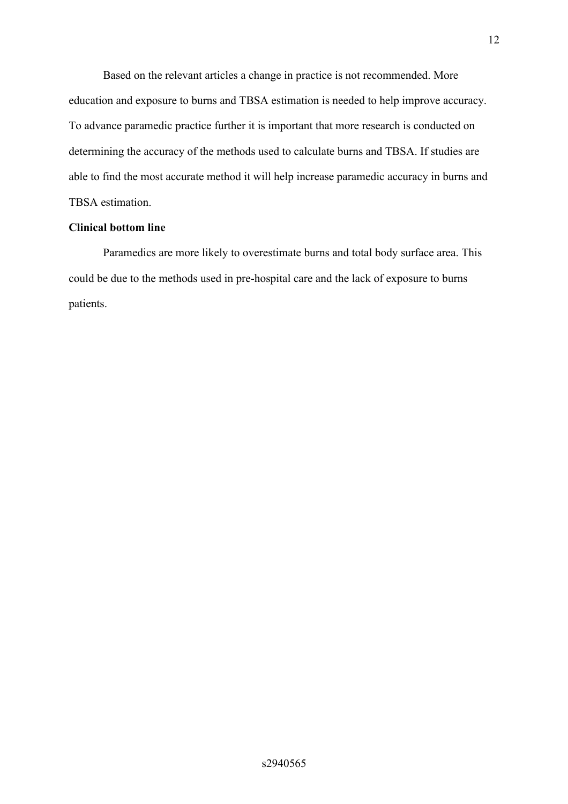Based on the relevant articles a change in practice is not recommended. More education and exposure to burns and TBSA estimation is needed to help improve accuracy. To advance paramedic practice further it is important that more research is conducted on determining the accuracy of the methods used to calculate burns and TBSA. If studies are able to find the most accurate method it will help increase paramedic accuracy in burns and TBSA estimation.

## **Clinical bottom line**

Paramedics are more likely to overestimate burns and total body surface area. This could be due to the methods used in pre-hospital care and the lack of exposure to burns patients.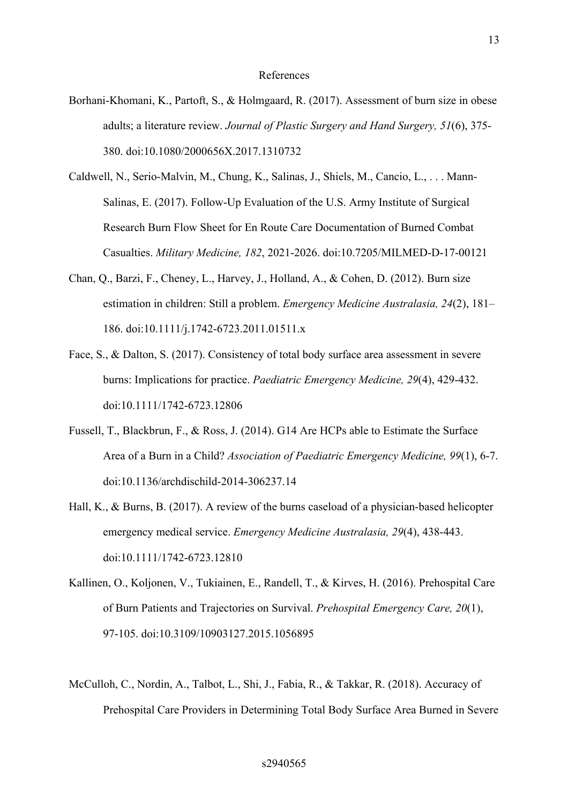- Borhani-Khomani, K., Partoft, S., & Holmgaard, R. (2017). Assessment of burn size in obese adults; a literature review. *Journal of Plastic Surgery and Hand Surgery, 51*(6), 375- 380. doi:10.1080/2000656X.2017.1310732
- Caldwell, N., Serio-Malvin, M., Chung, K., Salinas, J., Shiels, M., Cancio, L., . . . Mann-Salinas, E. (2017). Follow-Up Evaluation of the U.S. Army Institute of Surgical Research Burn Flow Sheet for En Route Care Documentation of Burned Combat Casualties. *Military Medicine, 182*, 2021-2026. doi:10.7205/MILMED-D-17-00121
- Chan, Q., Barzi, F., Cheney, L., Harvey, J., Holland, A., & Cohen, D. (2012). Burn size estimation in children: Still a problem. *Emergency Medicine Australasia, 24*(2), 181– 186. doi:10.1111/j.1742-6723.2011.01511.x
- Face, S., & Dalton, S. (2017). Consistency of total body surface area assessment in severe burns: Implications for practice. *Paediatric Emergency Medicine, 29*(4), 429-432. doi:10.1111/1742-6723.12806
- Fussell, T., Blackbrun, F., & Ross, J. (2014). G14 Are HCPs able to Estimate the Surface Area of a Burn in a Child? *Association of Paediatric Emergency Medicine, 99*(1), 6-7. doi:10.1136/archdischild-2014-306237.14
- Hall, K., & Burns, B. (2017). A review of the burns caseload of a physician-based helicopter emergency medical service. *Emergency Medicine Australasia, 29*(4), 438-443. doi:10.1111/1742-6723.12810
- Kallinen, O., Koljonen, V., Tukiainen, E., Randell, T., & Kirves, H. (2016). Prehospital Care of Burn Patients and Trajectories on Survival. *Prehospital Emergency Care, 20*(1), 97-105. doi:10.3109/10903127.2015.1056895
- McCulloh, C., Nordin, A., Talbot, L., Shi, J., Fabia, R., & Takkar, R. (2018). Accuracy of Prehospital Care Providers in Determining Total Body Surface Area Burned in Severe